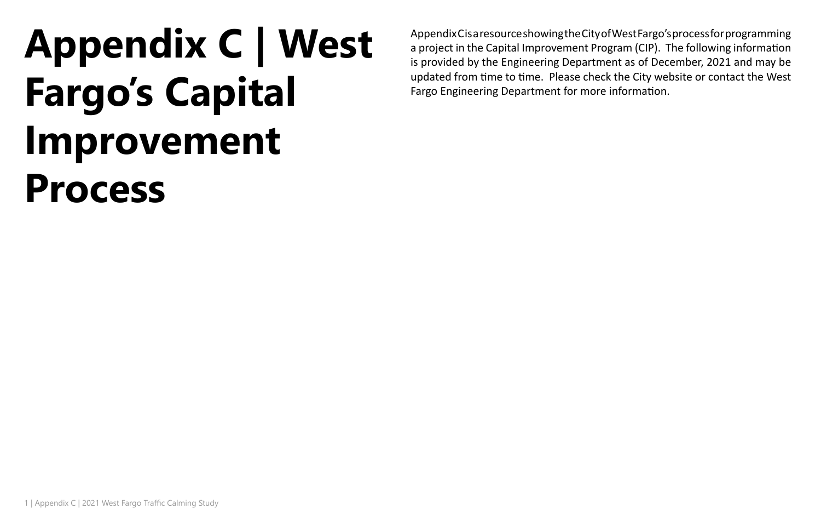## **Appendix C | West Fargo's Capital Improvement Process**

Appendix C is a resource showing the City of West Fargo's process for programming a project in the Capital Improvement Program (CIP). The following information is provided by the Engineering Department as of December, 2021 and may be updated from time to time. Please check the City website or contact the West Fargo Engineering Department for more information.